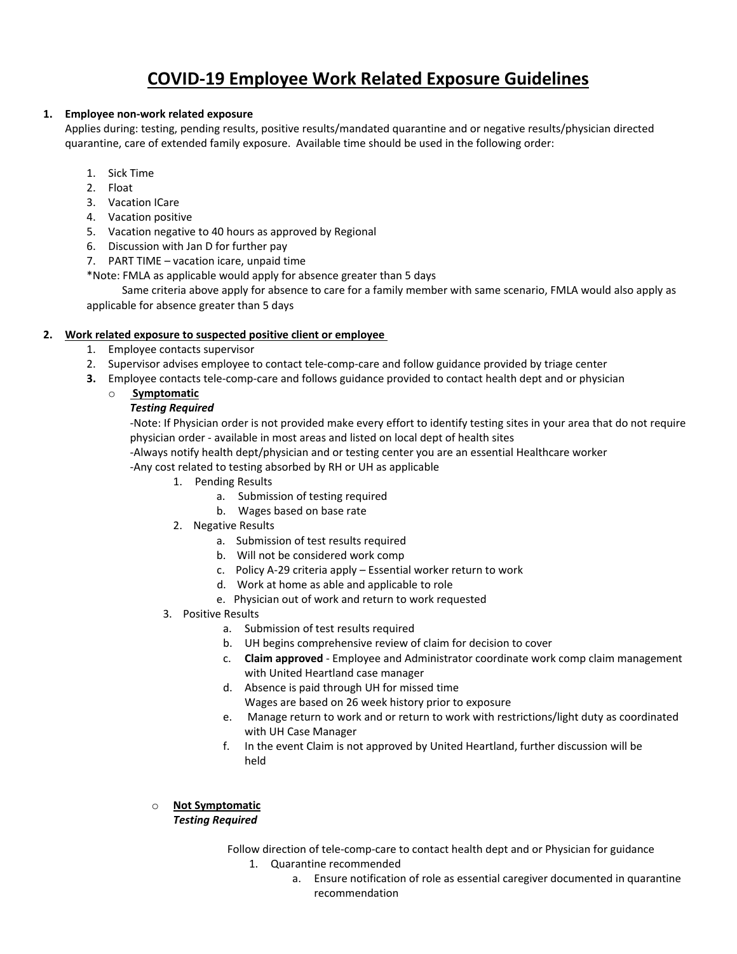# **COVID‐19 Employee Work Related Exposure Guidelines**

## **1. Employee non‐work related exposure**

Applies during: testing, pending results, positive results/mandated quarantine and or negative results/physician directed quarantine, care of extended family exposure. Available time should be used in the following order:

- 1. Sick Time
- 2. Float
- 3. Vacation ICare
- 4. Vacation positive
- 5. Vacation negative to 40 hours as approved by Regional
- 6. Discussion with Jan D for further pay
- 7. PART TIME vacation icare, unpaid time
- \*Note: FMLA as applicable would apply for absence greater than 5 days

 Same criteria above apply for absence to care for a family member with same scenario, FMLA would also apply as applicable for absence greater than 5 days

## **2. Work related exposure to suspected positive client or employee**

- 1. Employee contacts supervisor
- 2. Supervisor advises employee to contact tele-comp-care and follow guidance provided by triage center
- **3.** Employee contacts tele-comp-care and follows guidance provided to contact health dept and or physician
	- o **Symptomatic**

#### *Testing Required*

‐Note: If Physician order is not provided make every effort to identify testing sites in your area that do not require physician order ‐ available in most areas and listed on local dept of health sites

‐Always notify health dept/physician and or testing center you are an essential Healthcare worker

‐Any cost related to testing absorbed by RH or UH as applicable

- 1. Pending Results
	- a. Submission of testing required
	- b. Wages based on base rate
- 2. Negative Results
	- a. Submission of test results required
	- b. Will not be considered work comp
	- c. Policy A‐29 criteria apply Essential worker return to work
	- d. Work at home as able and applicable to role
	- e. Physician out of work and return to work requested
- 3. Positive Results
	- a. Submission of test results required
	- b. UH begins comprehensive review of claim for decision to cover
	- c. **Claim approved** ‐ Employee and Administrator coordinate work comp claim management with United Heartland case manager
	- d. Absence is paid through UH for missed time

Wages are based on 26 week history prior to exposure

- e. Manage return to work and or return to work with restrictions/light duty as coordinated with UH Case Manager
- f. In the event Claim is not approved by United Heartland, further discussion will be held

# o **Not Symptomatic**

# *Testing Required*

Follow direction of tele‐comp‐care to contact health dept and or Physician for guidance

- 1. Quarantine recommended
	- a. Ensure notification of role as essential caregiver documented in quarantine recommendation